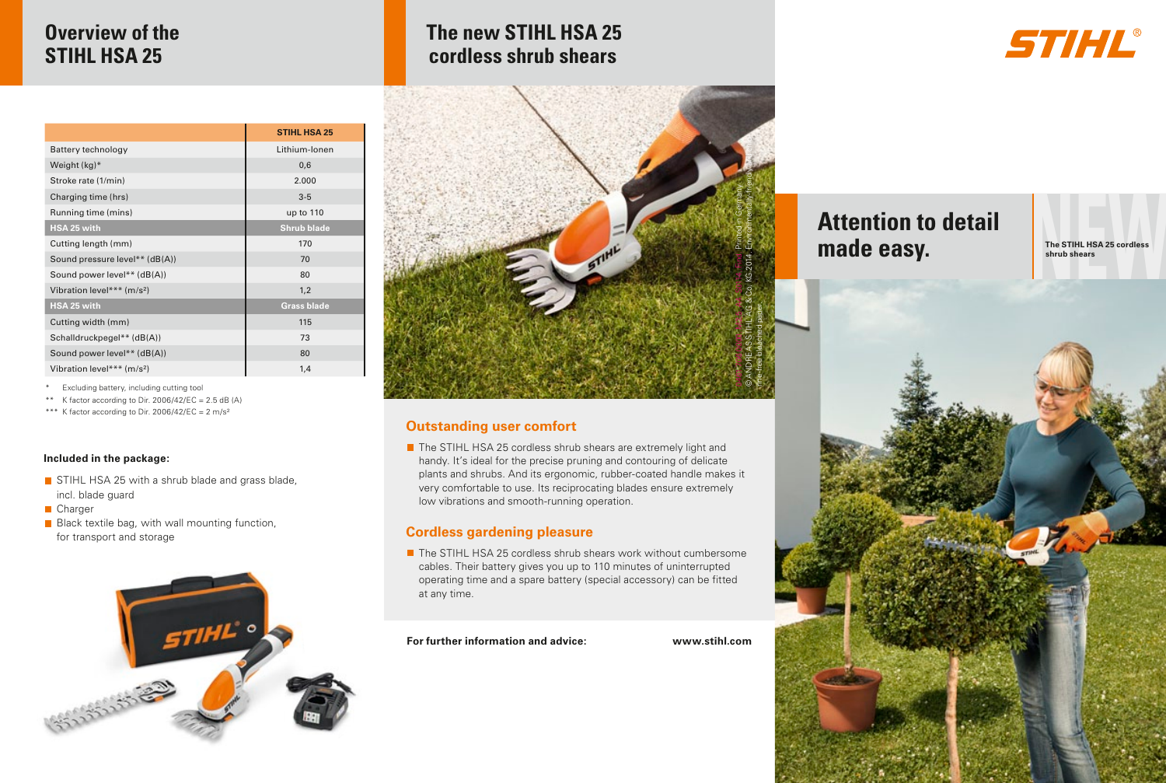# **Overview of the STIHL HSA 25**

|                                        | <b>STIHL HSA 25</b> |
|----------------------------------------|---------------------|
| Battery technology                     | Lithium-Ionen       |
| Weight (kg)*                           | 0,6                 |
| Stroke rate (1/min)                    | 2.000               |
| Charging time (hrs)                    | $3-5$               |
| Running time (mins)                    | up to 110           |
| HSA 25 with                            | <b>Shrub blade</b>  |
| Cutting length (mm)                    | 170                 |
| Sound pressure level** (dB(A))         | 70                  |
| Sound power level** (dB(A))            | 80                  |
| Vibration level*** (m/s <sup>2</sup> ) | 1.2                 |
| HSA 25 with                            | <b>Grass blade</b>  |
| Cutting width (mm)                     | 115                 |
| Schalldruckpegel** (dB(A))             | 73                  |
| Sound power level** (dB(A))            | 80                  |
| Vibration level*** (m/s <sup>2</sup> ) | 1,4                 |

\* Excluding battery, including cutting tool

\*\* K factor according to Dir. 2006/42/EC = 2.5 dB (A)

\*\*\* K factor according to Dir. 2006/42/EC =  $2 \text{ m/s}^2$ 

#### **Included in the package:**

- STIHL HSA 25 with a shrub blade and grass blade. incl. blade guard
- Charger
- $\blacksquare$  Black textile bag, with wall mounting function, for transport and storage



# **The new STIHL HSA 25 cordless shrub shears**



### **Outstanding user comfort**

■ The STIHL HSA 25 cordless shrub shears are extremely light and handy. It's ideal for the precise pruning and contouring of delicate plants and shrubs. And its ergonomic, rubber-coated handle makes it very comfortable to use. Its reciprocating blades ensure extremely low vibrations and smooth-running operation.

### **Cordless gardening pleasure**

■ The STIHL HSA 25 cordless shrub shears work without cumbersome cables. Their battery gives you up to 110 minutes of uninterrupted operating time and a spare battery (special accessory) can be fitted at any time.

**For further information and advice: www.stihl.com**

# **Attention to detail made easy.**

**The STIHL HSA 25 cordless shrub shears**

STIHL®